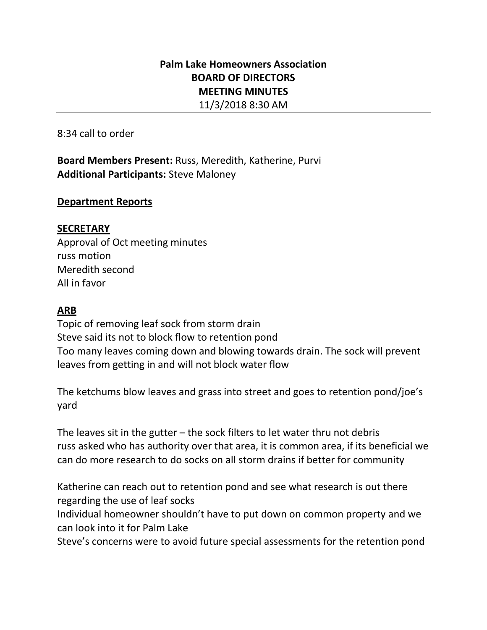# **Palm Lake Homeowners Association BOARD OF DIRECTORS MEETING MINUTES** 11/3/2018 8:30 AM

8:34 call to order

**Board Members Present:** Russ, Meredith, Katherine, Purvi **Additional Participants:** Steve Maloney

#### **Department Reports**

# **SECRETARY**

Approval of Oct meeting minutes russ motion Meredith second All in favor

# **ARB**

Topic of removing leaf sock from storm drain Steve said its not to block flow to retention pond Too many leaves coming down and blowing towards drain. The sock will prevent leaves from getting in and will not block water flow

The ketchums blow leaves and grass into street and goes to retention pond/joe's yard

The leaves sit in the gutter  $-$  the sock filters to let water thru not debris russ asked who has authority over that area, it is common area, if its beneficial we can do more research to do socks on all storm drains if better for community

Katherine can reach out to retention pond and see what research is out there regarding the use of leaf socks

Individual homeowner shouldn't have to put down on common property and we can look into it for Palm Lake

Steve's concerns were to avoid future special assessments for the retention pond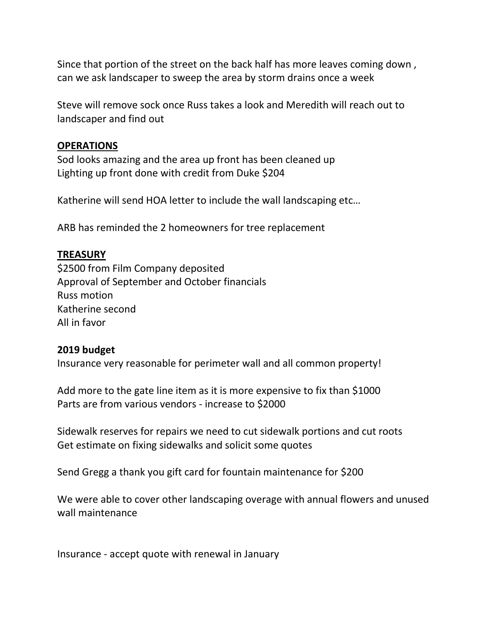Since that portion of the street on the back half has more leaves coming down , can we ask landscaper to sweep the area by storm drains once a week

Steve will remove sock once Russ takes a look and Meredith will reach out to landscaper and find out

#### **OPERATIONS**

Sod looks amazing and the area up front has been cleaned up Lighting up front done with credit from Duke \$204

Katherine will send HOA letter to include the wall landscaping etc…

ARB has reminded the 2 homeowners for tree replacement

# **TREASURY**

\$2500 from Film Company deposited Approval of September and October financials Russ motion Katherine second All in favor

## **2019 budget**

Insurance very reasonable for perimeter wall and all common property!

Add more to the gate line item as it is more expensive to fix than \$1000 Parts are from various vendors - increase to \$2000

Sidewalk reserves for repairs we need to cut sidewalk portions and cut roots Get estimate on fixing sidewalks and solicit some quotes

Send Gregg a thank you gift card for fountain maintenance for \$200

We were able to cover other landscaping overage with annual flowers and unused wall maintenance

Insurance - accept quote with renewal in January